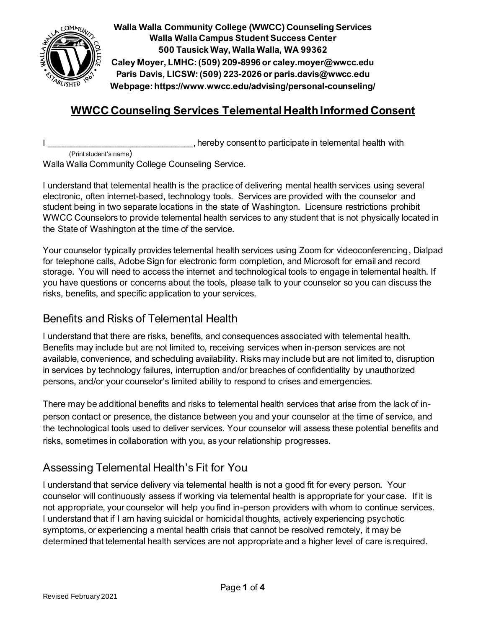

**Walla Walla Community College (WWCC) Counseling Services Walla Walla Campus Student Success Center 500 Tausick Way, Walla Walla, WA 99362 Caley Moyer, LMHC: (509) 209-8996 or caley.moyer@wwcc.edu Paris Davis, LICSW: (509) 223-2026 or paris.davis@wwcc.edu Webpage: https://www.wwcc.edu/advising/personal-counseling/**

# **WWCC Counseling Services Telemental Health Informed Consent**

I Letter the state of the state of the state of the state of the state of the state of the state of the state of the state of the state of the state of the state of the state of the state of the state of the state of the s (Print student's name)

Walla Walla Community College Counseling Service.

I understand that telemental health is the practice of delivering mental health services using several electronic, often internet-based, technology tools. Services are provided with the counselor and student being in two separate locations in the state of Washington. Licensure restrictions prohibit WWCC Counselors to provide telemental health services to any student that is not physically located in the State of Washington at the time of the service.

Your counselor typically provides telemental health services using Zoom for videoconferencing, Dialpad for telephone calls, Adobe Sign for electronic form completion, and Microsoft for email and record storage. You will need to access the internet and technological tools to engage in telemental health. If you have questions or concerns about the tools, please talk to your counselor so you can discuss the risks, benefits, and specific application to your services.

#### Benefits and Risks of Telemental Health

I understand that there are risks, benefits, and consequences associated with telemental health. Benefits may include but are not limited to, receiving services when in-person services are not available, convenience, and scheduling availability. Risks may include but are not limited to, disruption in services by technology failures, interruption and/or breaches of confidentiality by unauthorized persons, and/or your counselor's limited ability to respond to crises and emergencies.

There may be additional benefits and risks to telemental health services that arise from the lack of inperson contact or presence, the distance between you and your counselor at the time of service, and the technological tools used to deliver services. Your counselor will assess these potential benefits and risks, sometimes in collaboration with you, as your relationship progresses.

# Assessing Telemental Health's Fit for You

I understand that service delivery via telemental health is not a good fit for every person. Your counselor will continuously assess if working via telemental health is appropriate for your case. If it is not appropriate, your counselor will help you find in-person providers with whom to continue services. I understand that if I am having suicidal or homicidal thoughts, actively experiencing psychotic symptoms, or experiencing a mental health crisis that cannot be resolved remotely, it may be determined that telemental health services are not appropriate and a higher level of care is required.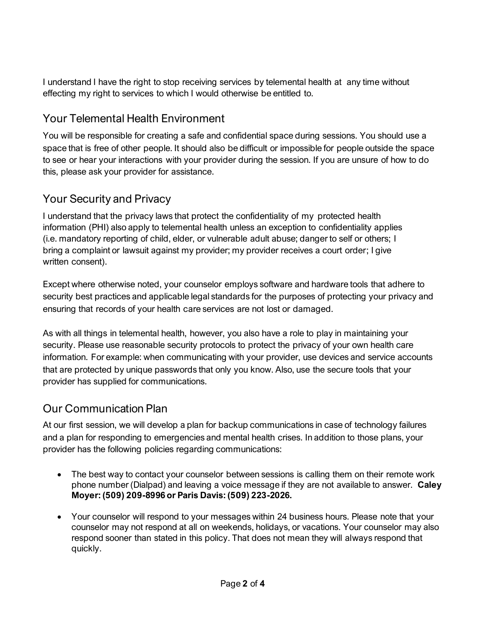I understand I have the right to stop receiving services by telemental health at any time without effecting my right to services to which I would otherwise be entitled to.

# Your Telemental Health Environment

You will be responsible for creating a safe and confidential space during sessions. You should use a space that is free of other people. It should also be difficult or impossible for people outside the space to see or hear your interactions with your provider during the session. If you are unsure of how to do this, please ask your provider for assistance.

### Your Security and Privacy

I understand that the privacy laws that protect the confidentiality of my protected health information (PHI) also apply to telemental health unless an exception to confidentiality applies (i.e. mandatory reporting of child, elder, or vulnerable adult abuse; dangerto self or others; I bring a complaint or lawsuit against my provider; my provider receives a court order; I give written consent).

Except where otherwise noted, your counselor employs software and hardware tools that adhere to security best practices and applicable legal standards for the purposes of protecting your privacy and ensuring that records of your health care services are not lost or damaged.

As with all things in telemental health, however, you also have a role to play in maintaining your security. Please use reasonable security protocols to protect the privacy of your own health care information. For example: when communicating with your provider, use devices and service accounts that are protected by unique passwords that only you know. Also, use the secure tools that your provider has supplied for communications.

# Our Communication Plan

At our first session, we will develop a plan for backup communications in case of technology failures and a plan for responding to emergencies and mental health crises. In addition to those plans, your provider has the following policies regarding communications:

- The best way to contact your counselor between sessions is calling them on their remote work phone number (Dialpad) and leaving a voice message if they are not available to answer. **Caley Moyer: (509) 209-8996 or Paris Davis: (509) 223-2026.**
- Your counselor will respond to your messages within 24 business hours. Please note that your counselor may not respond at all on weekends, holidays, or vacations. Your counselor may also respond sooner than stated in this policy. That does not mean they will always respond that quickly.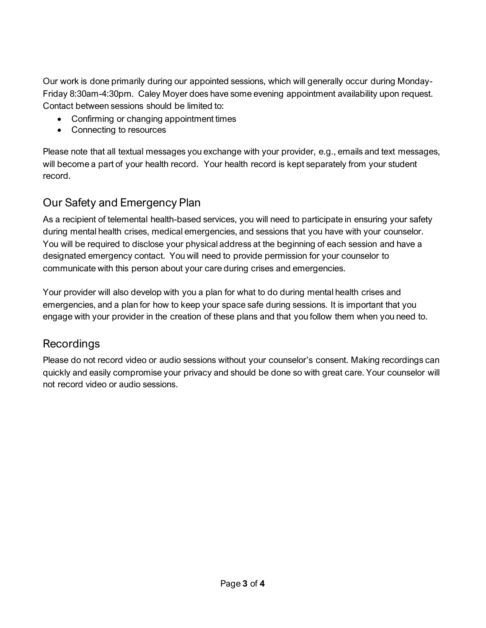Our work is done primarily during our appointed sessions, which will generally occur during Monday-Friday 8:30am-4:30pm. Caley Moyer does have some evening appointment availability upon request. Contact between sessions should be limited to:

- Confirming or changing appointment times
- Connecting to resources

Please note that all textual messages you exchange with your provider, e.g., emails and text messages, will become a part of your health record. Your health record is kept separately from your student record.

# Our Safety and Emergency Plan

As a recipient of telemental health-based services, you will need to participate in ensuring your safety during mental health crises, medical emergencies, and sessions that you have with your counselor. You will be required to disclose your physical address at the beginning of each session and have a designated emergency contact. You will need to provide permission for your counselor to communicate with this person about your care during crises and emergencies.

Your provider will also develop with you a plan for what to do during mental health crises and emergencies, and a plan for how to keep your space safe during sessions. It is important that you engage with your provider in the creation of these plans and that you follow them when you need to.

# Recordings

Please do not record video or audio sessions without your counselor's consent. Making recordings can quickly and easily compromise your privacy and should be done so with great care. Your counselor will not record video or audio sessions.